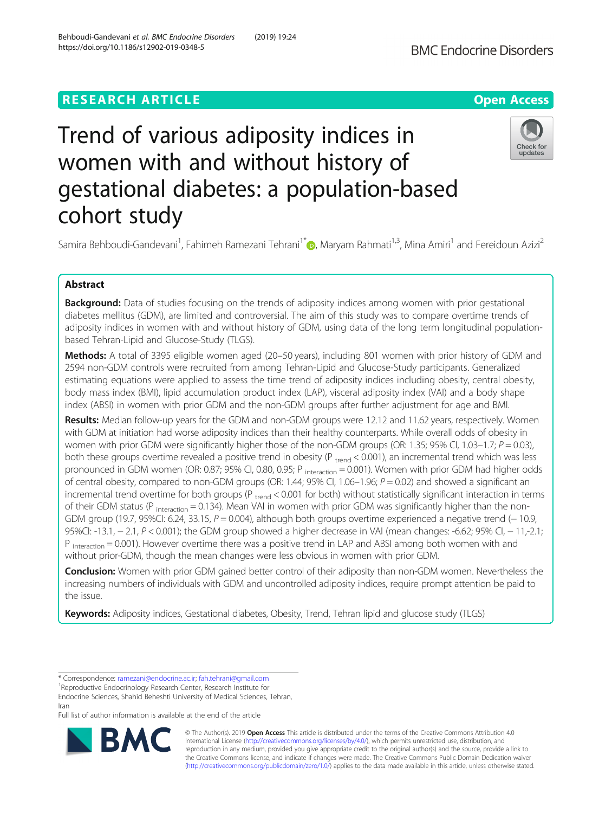# **RESEARCH ARTICLE Example 2018 12:30 THE Open Access**

# Trend of various adiposity indices in women with and without history of gestational diabetes: a population-based cohort study

Samira Behboudi-Gandevani<sup>1</sup>, Fahimeh Ramezani Tehrani<sup>1[\\*](http://orcid.org/0000-0002-4609-065X)</sup>�, Maryam Rahmati<sup>1,3</sup>, Mina Amiri<sup>1</sup> and Fereidoun Azizi<sup>2</sup>

# Abstract

Background: Data of studies focusing on the trends of adiposity indices among women with prior gestational diabetes mellitus (GDM), are limited and controversial. The aim of this study was to compare overtime trends of adiposity indices in women with and without history of GDM, using data of the long term longitudinal populationbased Tehran-Lipid and Glucose-Study (TLGS).

Methods: A total of 3395 eligible women aged (20-50 years), including 801 women with prior history of GDM and 2594 non-GDM controls were recruited from among Tehran-Lipid and Glucose-Study participants. Generalized estimating equations were applied to assess the time trend of adiposity indices including obesity, central obesity, body mass index (BMI), lipid accumulation product index (LAP), visceral adiposity index (VAI) and a body shape index (ABSI) in women with prior GDM and the non-GDM groups after further adjustment for age and BMI.

Results: Median follow-up years for the GDM and non-GDM groups were 12.12 and 11.62 years, respectively. Women with GDM at initiation had worse adiposity indices than their healthy counterparts. While overall odds of obesity in women with prior GDM were significantly higher those of the non-GDM groups (OR: 1.35; 95% CI, 1.03–1.7;  $P = 0.03$ ), both these groups overtime revealed a positive trend in obesity ( $P_{\text{trend}} < 0.001$ ), an incremental trend which was less pronounced in GDM women (OR: 0.87; 95% CI, 0.80, 0.95; P interaction = 0.001). Women with prior GDM had higher odds of central obesity, compared to non-GDM groups (OR: 1.44; 95% CI, 1.06–1.96;  $P = 0.02$ ) and showed a significant an incremental trend overtime for both groups ( $P_{\text{trend}} < 0.001$  for both) without statistically significant interaction in terms of their GDM status (P  $_{interaction} = 0.134$ ). Mean VAI in women with prior GDM was significantly higher than the non-GDM group (19.7, 95%CI: 6.24, 33.15,  $P = 0.004$ ), although both groups overtime experienced a negative trend (-10.9, 95%CI: -13.1, − 2.1, P < 0.001); the GDM group showed a higher decrease in VAI (mean changes: -6.62; 95% CI, − 11,-2.1;  $P_{interaction} = 0.001$ ). However overtime there was a positive trend in LAP and ABSI among both women with and without prior-GDM, though the mean changes were less obvious in women with prior GDM.

Conclusion: Women with prior GDM gained better control of their adiposity than non-GDM women. Nevertheless the increasing numbers of individuals with GDM and uncontrolled adiposity indices, require prompt attention be paid to the issue.

Keywords: Adiposity indices, Gestational diabetes, Obesity, Trend, Tehran lipid and glucose study (TLGS)

<sup>1</sup>Reproductive Endocrinology Research Center, Research Institute for

Endocrine Sciences, Shahid Beheshti University of Medical Sciences, Tehran, Iran

Full list of author information is available at the end of the article

© The Author(s). 2019 Open Access This article is distributed under the terms of the Creative Commons Attribution 4.0 International License [\(http://creativecommons.org/licenses/by/4.0/](http://creativecommons.org/licenses/by/4.0/)), which permits unrestricted use, distribution, and reproduction in any medium, provided you give appropriate credit to the original author(s) and the source, provide a link to the Creative Commons license, and indicate if changes were made. The Creative Commons Public Domain Dedication waiver [\(http://creativecommons.org/publicdomain/zero/1.0/](http://creativecommons.org/publicdomain/zero/1.0/)) applies to the data made available in this article, unless otherwise stated.





<sup>\*</sup> Correspondence: [ramezani@endocrine.ac.ir](mailto:ramezani@endocrine.ac.ir); [fah.tehrani@gmail.com](mailto:fah.tehrani@gmail.com) <sup>1</sup>

Behboudi-Gandevani et al. BMC Endocrine Disorders (2019) 19:24 https://doi.org/10.1186/s12902-019-0348-5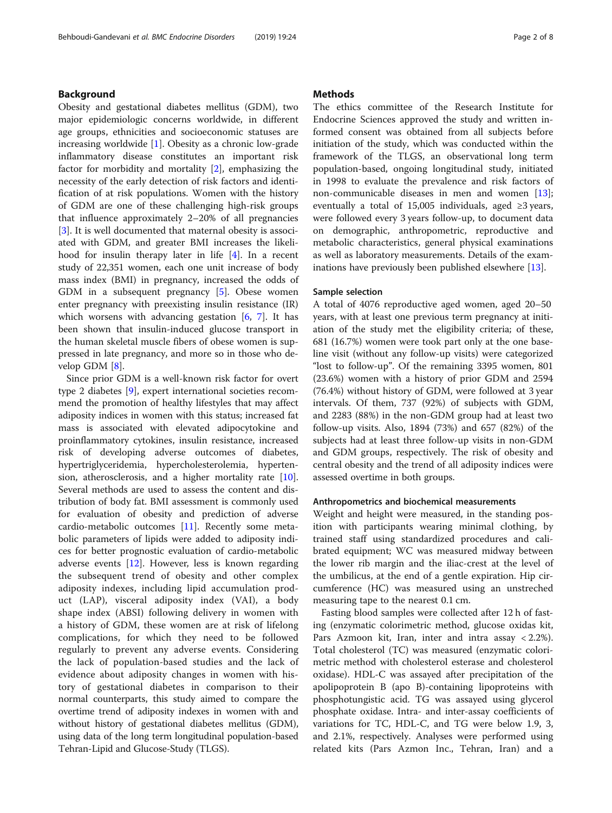# Background

Obesity and gestational diabetes mellitus (GDM), two major epidemiologic concerns worldwide, in different age groups, ethnicities and socioeconomic statuses are increasing worldwide [[1\]](#page-6-0). Obesity as a chronic low-grade inflammatory disease constitutes an important risk factor for morbidity and mortality [\[2](#page-6-0)], emphasizing the necessity of the early detection of risk factors and identification of at risk populations. Women with the history of GDM are one of these challenging high-risk groups that influence approximately 2–20% of all pregnancies [[3\]](#page-6-0). It is well documented that maternal obesity is associated with GDM, and greater BMI increases the likelihood for insulin therapy later in life [[4\]](#page-6-0). In a recent study of 22,351 women, each one unit increase of body mass index (BMI) in pregnancy, increased the odds of GDM in a subsequent pregnancy [\[5](#page-6-0)]. Obese women enter pregnancy with preexisting insulin resistance (IR) which worsens with advancing gestation  $[6, 7]$  $[6, 7]$  $[6, 7]$  $[6, 7]$ . It has been shown that insulin-induced glucose transport in the human skeletal muscle fibers of obese women is suppressed in late pregnancy, and more so in those who develop GDM [\[8\]](#page-6-0).

Since prior GDM is a well-known risk factor for overt type 2 diabetes [\[9](#page-6-0)], expert international societies recommend the promotion of healthy lifestyles that may affect adiposity indices in women with this status; increased fat mass is associated with elevated adipocytokine and proinflammatory cytokines, insulin resistance, increased risk of developing adverse outcomes of diabetes, hypertriglyceridemia, hypercholesterolemia, hypertension, atherosclerosis, and a higher mortality rate [\[10](#page-6-0)]. Several methods are used to assess the content and distribution of body fat. BMI assessment is commonly used for evaluation of obesity and prediction of adverse cardio-metabolic outcomes [\[11\]](#page-6-0). Recently some metabolic parameters of lipids were added to adiposity indices for better prognostic evaluation of cardio-metabolic adverse events [[12\]](#page-6-0). However, less is known regarding the subsequent trend of obesity and other complex adiposity indexes, including lipid accumulation product (LAP), visceral adiposity index (VAI), a body shape index (ABSI) following delivery in women with a history of GDM, these women are at risk of lifelong complications, for which they need to be followed regularly to prevent any adverse events. Considering the lack of population-based studies and the lack of evidence about adiposity changes in women with history of gestational diabetes in comparison to their normal counterparts, this study aimed to compare the overtime trend of adiposity indexes in women with and without history of gestational diabetes mellitus (GDM), using data of the long term longitudinal population-based Tehran-Lipid and Glucose-Study (TLGS).

# **Methods**

The ethics committee of the Research Institute for Endocrine Sciences approved the study and written informed consent was obtained from all subjects before initiation of the study, which was conducted within the framework of the TLGS, an observational long term population-based, ongoing longitudinal study, initiated in 1998 to evaluate the prevalence and risk factors of non-communicable diseases in men and women [\[13](#page-6-0)]; eventually a total of 15,005 individuals, aged ≥3 years, were followed every 3 years follow-up, to document data on demographic, anthropometric, reproductive and metabolic characteristics, general physical examinations as well as laboratory measurements. Details of the examinations have previously been published elsewhere [[13](#page-6-0)].

## Sample selection

A total of 4076 reproductive aged women, aged 20–50 years, with at least one previous term pregnancy at initiation of the study met the eligibility criteria; of these, 681 (16.7%) women were took part only at the one baseline visit (without any follow-up visits) were categorized "lost to follow-up". Of the remaining 3395 women, 801 (23.6%) women with a history of prior GDM and 2594 (76.4%) without history of GDM, were followed at 3 year intervals. Of them, 737 (92%) of subjects with GDM, and 2283 (88%) in the non-GDM group had at least two follow-up visits. Also, 1894 (73%) and 657 (82%) of the subjects had at least three follow-up visits in non-GDM and GDM groups, respectively. The risk of obesity and central obesity and the trend of all adiposity indices were assessed overtime in both groups.

## Anthropometrics and biochemical measurements

Weight and height were measured, in the standing position with participants wearing minimal clothing, by trained staff using standardized procedures and calibrated equipment; WC was measured midway between the lower rib margin and the iliac-crest at the level of the umbilicus, at the end of a gentle expiration. Hip circumference (HC) was measured using an unstreched measuring tape to the nearest 0.1 cm.

Fasting blood samples were collected after 12 h of fasting (enzymatic colorimetric method, glucose oxidas kit, Pars Azmoon kit, Iran, inter and intra assay < 2.2%). Total cholesterol (TC) was measured (enzymatic colorimetric method with cholesterol esterase and cholesterol oxidase). HDL-C was assayed after precipitation of the apolipoprotein B (apo B)-containing lipoproteins with phosphotungistic acid. TG was assayed using glycerol phosphate oxidase. Intra- and inter-assay coefficients of variations for TC, HDL-C, and TG were below 1.9, 3, and 2.1%, respectively. Analyses were performed using related kits (Pars Azmon Inc., Tehran, Iran) and a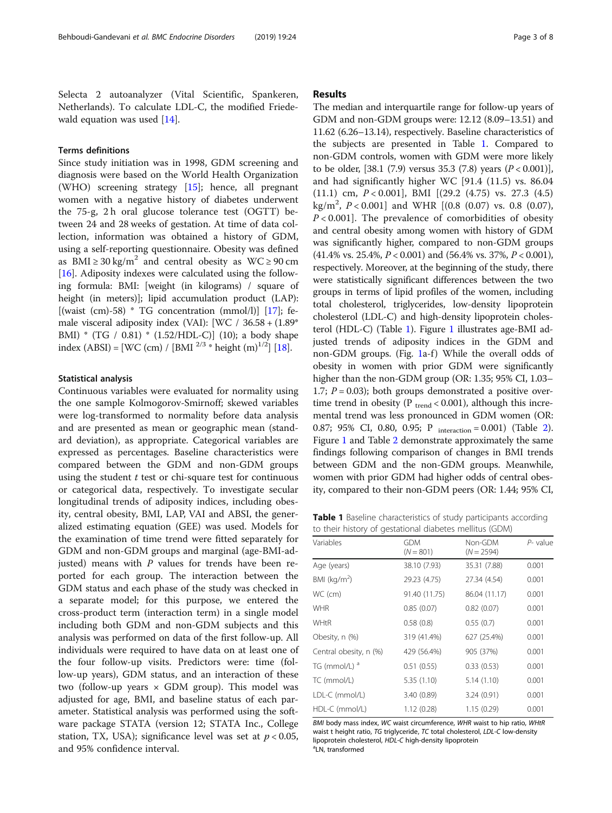Selecta 2 autoanalyzer (Vital Scientific, Spankeren, Netherlands). To calculate LDL-C, the modified Friede-wald equation was used [\[14\]](#page-6-0).

# Terms definitions

Since study initiation was in 1998, GDM screening and diagnosis were based on the World Health Organization (WHO) screening strategy [[15](#page-6-0)]; hence, all pregnant women with a negative history of diabetes underwent the 75-g, 2 h oral glucose tolerance test (OGTT) between 24 and 28 weeks of gestation. At time of data collection, information was obtained a history of GDM, using a self-reporting questionnaire. Obesity was defined as BMI  $\geq$  30 kg/m<sup>2</sup> and central obesity as WC  $\geq$  90 cm [[16\]](#page-6-0). Adiposity indexes were calculated using the following formula: BMI: [weight (in kilograms) / square of height (in meters)]; lipid accumulation product (LAP): [(waist (cm)-58) \* TG concentration (mmol/l)]  $[17]$  $[17]$ ; female visceral adiposity index (VAI): [WC / 36.58 + (1.89\* BMI) \* (TG / 0.81) \* (1.52/HDL-C)] (10); a body shape index (ABSI) = [WC (cm) / [BMI  $^{2/3}$  \* height (m)<sup>1/2</sup>] [[18](#page-6-0)].

#### Statistical analysis

Continuous variables were evaluated for normality using the one sample Kolmogorov-Smirnoff; skewed variables were log-transformed to normality before data analysis and are presented as mean or geographic mean (standard deviation), as appropriate. Categorical variables are expressed as percentages. Baseline characteristics were compared between the GDM and non-GDM groups using the student  $t$  test or chi-square test for continuous or categorical data, respectively. To investigate secular longitudinal trends of adiposity indices, including obesity, central obesity, BMI, LAP, VAI and ABSI, the generalized estimating equation (GEE) was used. Models for the examination of time trend were fitted separately for GDM and non-GDM groups and marginal (age-BMI-adjusted) means with  $P$  values for trends have been reported for each group. The interaction between the GDM status and each phase of the study was checked in a separate model; for this purpose, we entered the cross-product term (interaction term) in a single model including both GDM and non-GDM subjects and this analysis was performed on data of the first follow-up. All individuals were required to have data on at least one of the four follow-up visits. Predictors were: time (follow-up years), GDM status, and an interaction of these two (follow-up years  $\times$  GDM group). This model was adjusted for age, BMI, and baseline status of each parameter. Statistical analysis was performed using the software package STATA (version 12; STATA Inc., College station, TX, USA); significance level was set at  $p < 0.05$ , and 95% confidence interval.

# Results

The median and interquartile range for follow-up years of GDM and non-GDM groups were: 12.12 (8.09–13.51) and 11.62 (6.26–13.14), respectively. Baseline characteristics of the subjects are presented in Table 1. Compared to non-GDM controls, women with GDM were more likely to be older, [38.1 (7.9) versus 35.3 (7.8) years  $(P < 0.001)$ ], and had significantly higher WC [91.4 (11.5) vs. 86.04  $(11.1)$  cm,  $P < 0.001$ ], BMI  $[(29.2 (4.75)$  vs. 27.3  $(4.5)$ kg/m<sup>2</sup>, P < 0.001] and WHR [(0.8 (0.07) vs. 0.8 (0.07),  $P < 0.001$ . The prevalence of comorbidities of obesity and central obesity among women with history of GDM was significantly higher, compared to non-GDM groups  $(41.4\% \text{ vs. } 25.4\%, P < 0.001)$  and  $(56.4\% \text{ vs. } 37\%, P < 0.001)$ , respectively. Moreover, at the beginning of the study, there were statistically significant differences between the two groups in terms of lipid profiles of the women, including total cholesterol, triglycerides, low-density lipoprotein cholesterol (LDL-C) and high-density lipoprotein cholesterol (HDL-C) (Table 1). Figure [1](#page-3-0) illustrates age-BMI adjusted trends of adiposity indices in the GDM and non-GDM groups. (Fig. [1a](#page-3-0)-f) While the overall odds of obesity in women with prior GDM were significantly higher than the non-GDM group (OR: 1.35; 95% CI, 1.03– 1.7;  $P = 0.03$ ); both groups demonstrated a positive overtime trend in obesity ( $P_{trend} < 0.001$ ), although this incremental trend was less pronounced in GDM women (OR: 0.87; 95% CI, 0.80, 0.95; P interaction = 0.001) (Table [2](#page-4-0)). Figure [1](#page-3-0) and Table [2](#page-4-0) demonstrate approximately the same findings following comparison of changes in BMI trends between GDM and the non-GDM groups. Meanwhile, women with prior GDM had higher odds of central obesity, compared to their non-GDM peers (OR: 1.44; 95% CI,

Table 1 Baseline characteristics of study participants according to their history of gestational diabetes mellitus (GDM)

| Variables                | <b>GDM</b><br>$(N = 801)$ | Non-GDM<br>$(N = 2594)$ | $P-$ value |
|--------------------------|---------------------------|-------------------------|------------|
| Age (years)              | 38.10 (7.93)              | 35.31 (7.88)            | 0.001      |
| BMI ( $kg/m2$ )          | 29.23 (4.75)              | 27.34 (4.54)            | 0.001      |
| WC (cm)                  | 91.40 (11.75)             | 86.04 (11.17)           | 0.001      |
| <b>WHR</b>               | 0.85(0.07)                | 0.82(0.07)              | 0.001      |
| <b>WHtR</b>              | 0.58(0.8)                 | 0.55(0.7)               | 0.001      |
| Obesity, n (%)           | 319 (41.4%)               | 627 (25.4%)             | 0.001      |
| Central obesity, n (%)   | 429 (56.4%)               | 905 (37%)               | 0.001      |
| TG (mmol/L) <sup>a</sup> | 0.51(0.55)                | 0.33(0.53)              | 0.001      |
| TC (mmol/L)              | 5.35(1.10)                | 5.14(1.10)              | 0.001      |
| LDL-C (mmol/L)           | 3.40(0.89)                | 3.24(0.91)              | 0.001      |
| HDL-C (mmol/L)           | 1.12(0.28)                | 1.15(0.29)              | 0.001      |

BMI body mass index, WC waist circumference, WHR waist to hip ratio, WHtR waist t height ratio, TG triglyceride, TC total cholesterol, LDL-C low-density lipoprotein cholesterol, HDL-C high-density lipoprotein LN, transformed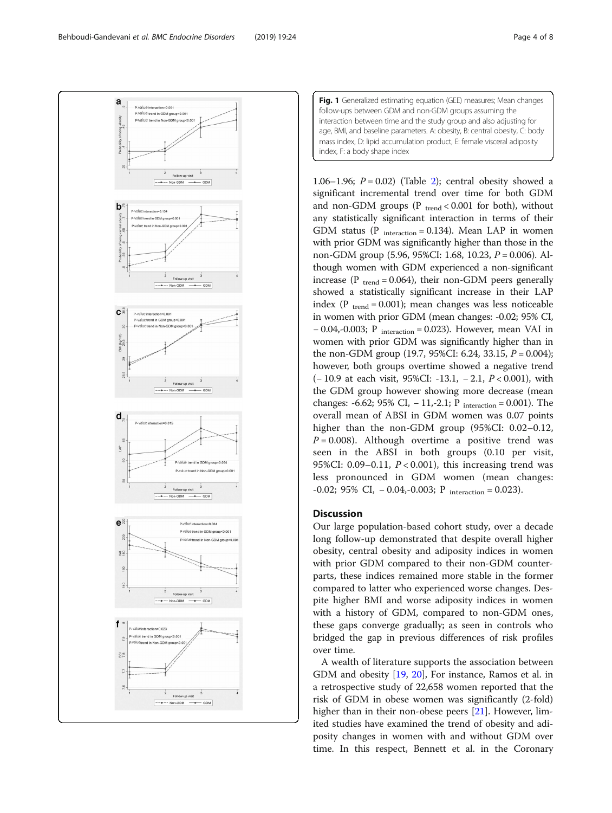<span id="page-3-0"></span>Behboudi-Gandevani et al. BMC Endocrine Disorders (2019) 19:24 Page 4 of 8



Fig. 1 Generalized estimating equation (GEE) measures; Mean changes follow-ups between GDM and non-GDM groups assuming the interaction between time and the study group and also adjusting for age, BMI, and baseline parameters. A: obesity, B: central obesity, C: body mass index, D: lipid accumulation product, E: female visceral adiposity index, F: a body shape index

1.06–1.96;  $P = 0.02$  $P = 0.02$ ) (Table 2); central obesity showed a significant incremental trend over time for both GDM and non-GDM groups ( $P_{trend} < 0.001$  for both), without any statistically significant interaction in terms of their GDM status (P  $_{interaction} = 0.134$ ). Mean LAP in women with prior GDM was significantly higher than those in the non-GDM group (5.96, 95%CI: 1.68, 10.23, P = 0.006). Although women with GDM experienced a non-significant increase (P  $_{trend} = 0.064$ ), their non-GDM peers generally showed a statistically significant increase in their LAP index ( $P_{trend} = 0.001$ ); mean changes was less noticeable in women with prior GDM (mean changes: -0.02; 95% CI,  $-0.04,-0.003;$  P <sub>interaction</sub> = 0.023). However, mean VAI in women with prior GDM was significantly higher than in the non-GDM group (19.7, 95%CI: 6.24, 33.15,  $P = 0.004$ ); however, both groups overtime showed a negative trend (− 10.9 at each visit, 95%CI: -13.1, − 2.1, P < 0.001), with the GDM group however showing more decrease (mean changes:  $-6.62$ ; 95% CI,  $-11$ , $-2.1$ ; P <sub>interaction</sub> = 0.001). The overall mean of ABSI in GDM women was 0.07 points higher than the non-GDM group (95%CI: 0.02–0.12,  $P = 0.008$ ). Although overtime a positive trend was seen in the ABSI in both groups (0.10 per visit, 95%CI:  $0.09-0.11$ ,  $P < 0.001$ ), this increasing trend was less pronounced in GDM women (mean changes:  $-0.02$ ; 95% CI,  $-0.04$ , $-0.003$ ; P interaction = 0.023).

# **Discussion**

Our large population-based cohort study, over a decade long follow-up demonstrated that despite overall higher obesity, central obesity and adiposity indices in women with prior GDM compared to their non-GDM counterparts, these indices remained more stable in the former compared to latter who experienced worse changes. Despite higher BMI and worse adiposity indices in women with a history of GDM, compared to non-GDM ones, these gaps converge gradually; as seen in controls who bridged the gap in previous differences of risk profiles over time.

A wealth of literature supports the association between GDM and obesity [\[19](#page-6-0), [20\]](#page-6-0), For instance, Ramos et al. in a retrospective study of 22,658 women reported that the risk of GDM in obese women was significantly (2-fold) higher than in their non-obese peers [\[21\]](#page-6-0). However, limited studies have examined the trend of obesity and adiposity changes in women with and without GDM over time. In this respect, Bennett et al. in the Coronary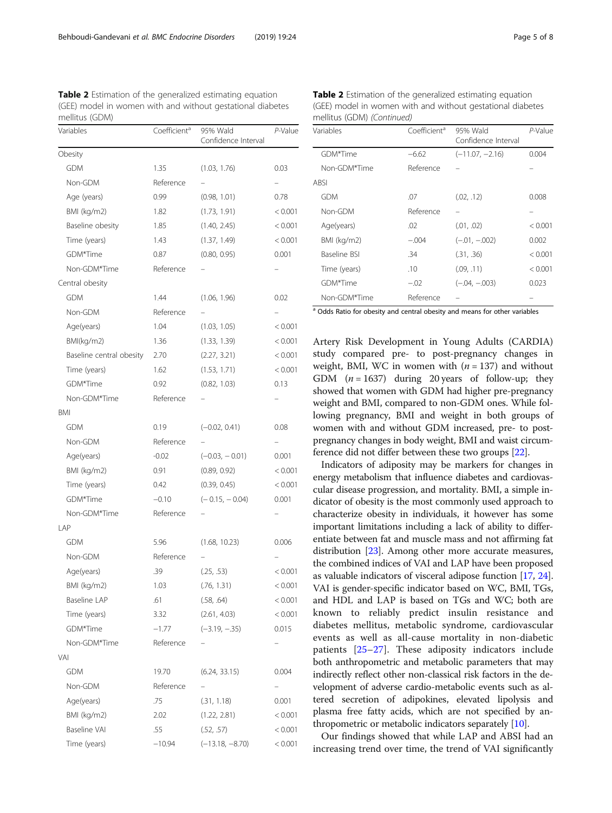<span id="page-4-0"></span>Table 2 Estimation of the generalized estimating equation (GEE) model in women with and without gestational diabetes mellitus (GDM)

| Variables                | Coefficient <sup>a</sup> | 95% Wald<br>Confidence Interval | P-Value |
|--------------------------|--------------------------|---------------------------------|---------|
| Obesity                  |                          |                                 |         |
| <b>GDM</b>               | 1.35                     | (1.03, 1.76)                    | 0.03    |
| Non-GDM                  | Reference                |                                 | -       |
| Age (years)              | 0.99                     | (0.98, 1.01)                    | 0.78    |
| BMI (kg/m2)              | 1.82                     | (1.73, 1.91)                    | < 0.001 |
| Baseline obesity         | 1.85                     | (1.40, 2.45)                    | < 0.001 |
| Time (years)             | 1.43                     | (1.37, 1.49)                    | < 0.001 |
| GDM*Time                 | 0.87                     | (0.80, 0.95)                    | 0.001   |
| Non-GDM*Time             | Reference                |                                 |         |
| Central obesity          |                          |                                 |         |
| <b>GDM</b>               | 1.44                     | (1.06, 1.96)                    | 0.02    |
| Non-GDM                  | Reference                |                                 |         |
| Age(years)               | 1.04                     | (1.03, 1.05)                    | < 0.001 |
| BMI(kg/m2)               | 1.36                     | (1.33, 1.39)                    | < 0.001 |
| Baseline central obesity | 2.70                     | (2.27, 3.21)                    | < 0.001 |
| Time (years)             | 1.62                     | (1.53, 1.71)                    | < 0.001 |
| GDM*Time                 | 0.92                     | (0.82, 1.03)                    | 0.13    |
| Non-GDM*Time             | Reference                |                                 |         |
| BMI                      |                          |                                 |         |
| <b>GDM</b>               | 0.19                     | $(-0.02, 0.41)$                 | 0.08    |
| Non-GDM                  | Reference                |                                 |         |
| Age(years)               | $-0.02$                  | $(-0.03, -0.01)$                | 0.001   |
| BMI (kg/m2)              | 0.91                     | (0.89, 0.92)                    | < 0.001 |
| Time (years)             | 0.42                     | (0.39, 0.45)                    | < 0.001 |
| GDM*Time                 | $-0.10$                  | $(-0.15, -0.04)$                | 0.001   |
| Non-GDM*Time             | Reference                |                                 |         |
| LAP                      |                          |                                 |         |
| <b>GDM</b>               | 5.96                     | (1.68, 10.23)                   | 0.006   |
| Non-GDM                  | Reference                |                                 |         |
| Age(years)               | .39                      | (.25, .53)                      | < 0.001 |
| BMI (kg/m2)              | 1.03                     | (.76, 1.31)                     | < 0.001 |
| Baseline LAP             | .61                      | (.58, .64)                      | < 0.001 |
| Time (years)             | 3.32                     | (2.61, 4.03)                    | < 0.001 |
| GDM*Time                 | $-1.77$                  | $(-3.19, -0.35)$                | 0.015   |
| Non-GDM*Time             | Reference                |                                 |         |
| VAI                      |                          |                                 |         |
| <b>GDM</b>               | 19.70                    | (6.24, 33.15)                   | 0.004   |
| Non-GDM                  | Reference                |                                 |         |
| Age(years)               | .75                      | (.31, 1.18)                     | 0.001   |
| BMI (kg/m2)              | 2.02                     | (1.22, 2.81)                    | < 0.001 |
| Baseline VAI             | .55                      | (.52, .57)                      | < 0.001 |
| Time (years)             | $-10.94$                 | $(-13.18, -8.70)$               | < 0.001 |

Table 2 Estimation of the generalized estimating equation (GEE) model in women with and without gestational diabetes mellitus (GDM) (Continued)

| Variables                                                                                                                                                                                                                                                                                                                                                                            | Coefficient <sup>a</sup> | 95% Wald<br>Confidence Interval | P-Value |
|--------------------------------------------------------------------------------------------------------------------------------------------------------------------------------------------------------------------------------------------------------------------------------------------------------------------------------------------------------------------------------------|--------------------------|---------------------------------|---------|
| GDM*Time                                                                                                                                                                                                                                                                                                                                                                             | $-6.62$                  | $(-11.07, -2.16)$               | 0.004   |
| Non-GDM*Time                                                                                                                                                                                                                                                                                                                                                                         | Reference                |                                 |         |
| <b>ABSI</b>                                                                                                                                                                                                                                                                                                                                                                          |                          |                                 |         |
| <b>GDM</b>                                                                                                                                                                                                                                                                                                                                                                           | .07                      | (.02, .12)                      | 0.008   |
| Non-GDM                                                                                                                                                                                                                                                                                                                                                                              | Reference                |                                 |         |
| Age(years)                                                                                                                                                                                                                                                                                                                                                                           | .02                      | (.01, .02)                      | < 0.001 |
| BMI (kg/m2)                                                                                                                                                                                                                                                                                                                                                                          | $-.004$                  | $(-.01, -.002)$                 | 0.002   |
| Baseline BSI                                                                                                                                                                                                                                                                                                                                                                         | .34                      | (.31, .36)                      | < 0.001 |
| Time (years)                                                                                                                                                                                                                                                                                                                                                                         | .10                      | (.09, .11)                      | < 0.001 |
| GDM*Time                                                                                                                                                                                                                                                                                                                                                                             | $-.02$                   | $(-.04, -.003)$                 | 0.023   |
| Non-GDM*Time                                                                                                                                                                                                                                                                                                                                                                         | Reference                |                                 |         |
| $\overline{a}$ $\overline{a}$ $\overline{b}$ $\overline{c}$ $\overline{c}$ $\overline{c}$ $\overline{c}$ $\overline{c}$ $\overline{c}$ $\overline{c}$ $\overline{c}$ $\overline{c}$ $\overline{c}$ $\overline{c}$ $\overline{c}$ $\overline{c}$ $\overline{c}$ $\overline{c}$ $\overline{c}$ $\overline{c}$ $\overline{c}$ $\overline{c}$ $\overline{c}$ $\overline{c}$ $\overline{$ | .                        |                                 |         |

<sup>a</sup> Odds Ratio for obesity and central obesity and means for other variables

Artery Risk Development in Young Adults (CARDIA) study compared pre- to post-pregnancy changes in weight, BMI, WC in women with  $(n = 137)$  and without GDM  $(n = 1637)$  during 20 years of follow-up; they showed that women with GDM had higher pre-pregnancy weight and BMI, compared to non-GDM ones. While following pregnancy, BMI and weight in both groups of women with and without GDM increased, pre- to postpregnancy changes in body weight, BMI and waist circumference did not differ between these two groups [\[22\]](#page-6-0).

Indicators of adiposity may be markers for changes in energy metabolism that influence diabetes and cardiovascular disease progression, and mortality. BMI, a simple indicator of obesity is the most commonly used approach to characterize obesity in individuals, it however has some important limitations including a lack of ability to differentiate between fat and muscle mass and not affirming fat distribution [\[23](#page-6-0)]. Among other more accurate measures, the combined indices of VAI and LAP have been proposed as valuable indicators of visceral adipose function [\[17,](#page-6-0) [24](#page-6-0)]. VAI is gender-specific indicator based on WC, BMI, TGs, and HDL and LAP is based on TGs and WC; both are known to reliably predict insulin resistance and diabetes mellitus, metabolic syndrome, cardiovascular events as well as all-cause mortality in non-diabetic patients [\[25](#page-6-0)–[27](#page-6-0)]. These adiposity indicators include both anthropometric and metabolic parameters that may indirectly reflect other non-classical risk factors in the development of adverse cardio-metabolic events such as altered secretion of adipokines, elevated lipolysis and plasma free fatty acids, which are not specified by anthropometric or metabolic indicators separately [\[10](#page-6-0)].

Our findings showed that while LAP and ABSI had an increasing trend over time, the trend of VAI significantly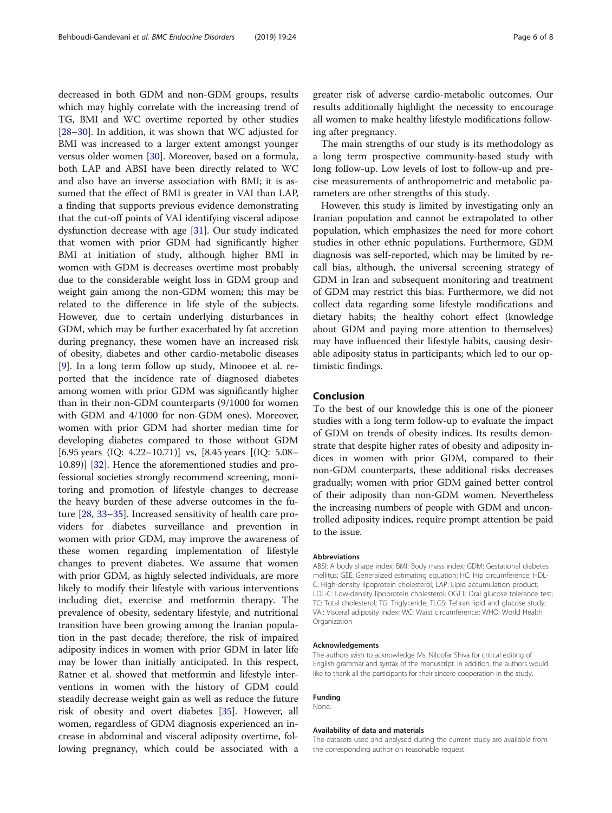decreased in both GDM and non-GDM groups, results which may highly correlate with the increasing trend of TG, BMI and WC overtime reported by other studies [[28](#page-6-0)–[30](#page-6-0)]. In addition, it was shown that WC adjusted for BMI was increased to a larger extent amongst younger versus older women [[30\]](#page-6-0). Moreover, based on a formula, both LAP and ABSI have been directly related to WC and also have an inverse association with BMI; it is assumed that the effect of BMI is greater in VAI than LAP, a finding that supports previous evidence demonstrating that the cut-off points of VAI identifying visceral adipose dysfunction decrease with age [[31](#page-6-0)]. Our study indicated that women with prior GDM had significantly higher BMI at initiation of study, although higher BMI in women with GDM is decreases overtime most probably due to the considerable weight loss in GDM group and weight gain among the non-GDM women; this may be related to the difference in life style of the subjects. However, due to certain underlying disturbances in GDM, which may be further exacerbated by fat accretion during pregnancy, these women have an increased risk of obesity, diabetes and other cardio-metabolic diseases [[9\]](#page-6-0). In a long term follow up study, Minooee et al. reported that the incidence rate of diagnosed diabetes among women with prior GDM was significantly higher than in their non-GDM counterparts (9/1000 for women with GDM and 4/1000 for non-GDM ones). Moreover, women with prior GDM had shorter median time for developing diabetes compared to those without GDM [6.95 years (IQ: 4.22–10.71)] vs, [8.45 years [(IQ: 5.08– 10.89)] [\[32](#page-7-0)]. Hence the aforementioned studies and professional societies strongly recommend screening, monitoring and promotion of lifestyle changes to decrease the heavy burden of these adverse outcomes in the future [\[28](#page-6-0), [33](#page-7-0)–[35\]](#page-7-0). Increased sensitivity of health care providers for diabetes surveillance and prevention in women with prior GDM, may improve the awareness of these women regarding implementation of lifestyle changes to prevent diabetes. We assume that women with prior GDM, as highly selected individuals, are more likely to modify their lifestyle with various interventions including diet, exercise and metformin therapy. The prevalence of obesity, sedentary lifestyle, and nutritional transition have been growing among the Iranian population in the past decade; therefore, the risk of impaired adiposity indices in women with prior GDM in later life may be lower than initially anticipated. In this respect, Ratner et al. showed that metformin and lifestyle interventions in women with the history of GDM could steadily decrease weight gain as well as reduce the future risk of obesity and overt diabetes [[35\]](#page-7-0). However, all women, regardless of GDM diagnosis experienced an increase in abdominal and visceral adiposity overtime, following pregnancy, which could be associated with a greater risk of adverse cardio-metabolic outcomes. Our results additionally highlight the necessity to encourage all women to make healthy lifestyle modifications following after pregnancy.

The main strengths of our study is its methodology as a long term prospective community-based study with long follow-up. Low levels of lost to follow-up and precise measurements of anthropometric and metabolic parameters are other strengths of this study.

However, this study is limited by investigating only an Iranian population and cannot be extrapolated to other population, which emphasizes the need for more cohort studies in other ethnic populations. Furthermore, GDM diagnosis was self-reported, which may be limited by recall bias, although, the universal screening strategy of GDM in Iran and subsequent monitoring and treatment of GDM may restrict this bias. Furthermore, we did not collect data regarding some lifestyle modifications and dietary habits; the healthy cohort effect (knowledge about GDM and paying more attention to themselves) may have influenced their lifestyle habits, causing desirable adiposity status in participants; which led to our optimistic findings.

# Conclusion

To the best of our knowledge this is one of the pioneer studies with a long term follow-up to evaluate the impact of GDM on trends of obesity indices. Its results demonstrate that despite higher rates of obesity and adiposity indices in women with prior GDM, compared to their non-GDM counterparts, these additional risks decreases gradually; women with prior GDM gained better control of their adiposity than non-GDM women. Nevertheless the increasing numbers of people with GDM and uncontrolled adiposity indices, require prompt attention be paid to the issue.

#### Abbreviations

ABSI: A body shape index; BMI: Body mass index; GDM: Gestational diabetes mellitus; GEE: Generalized estimating equation; HC: Hip circumference; HDL-C: High-density lipoprotein cholesterol; LAP: Lipid accumulation product; LDL-C: Low-density lipoprotein cholesterol; OGTT: Oral glucose tolerance test; TC: Total cholesterol; TG: Triglyceride; TLGS: Tehran lipid and glucose study; VAI: Visceral adiposity index; WC: Waist circumference; WHO: World Health Organization

#### Acknowledgements

The authors wish to acknowledge Ms. Niloofar Shiva for critical editing of English grammar and syntax of the manuscript. In addition, the authors would like to thank all the participants for their sincere cooperation in the study.

#### Funding

None.

#### Availability of data and materials

The datasets used and analysed during the current study are available from the corresponding author on reasonable request.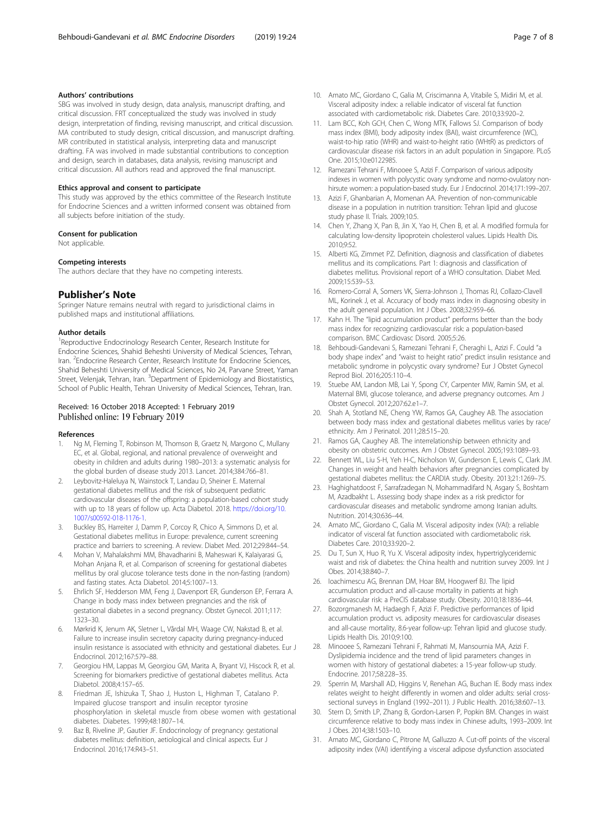## <span id="page-6-0"></span>Authors' contributions

SBG was involved in study design, data analysis, manuscript drafting, and critical discussion. FRT conceptualized the study was involved in study design, interpretation of finding, revising manuscript, and critical discussion. MA contributed to study design, critical discussion, and manuscript drafting. MR contributed in statistical analysis, interpreting data and manuscript drafting. FA was involved in made substantial contributions to conception and design, search in databases, data analysis, revising manuscript and critical discussion. All authors read and approved the final manuscript.

#### Ethics approval and consent to participate

This study was approved by the ethics committee of the Research Institute for Endocrine Sciences and a written informed consent was obtained from all subjects before initiation of the study.

#### Consent for publication

Not applicable.

#### Competing interests

The authors declare that they have no competing interests.

#### Publisher's Note

Springer Nature remains neutral with regard to jurisdictional claims in published maps and institutional affiliations.

#### Author details

<sup>1</sup> Reproductive Endocrinology Research Center, Research Institute for Endocrine Sciences, Shahid Beheshti University of Medical Sciences, Tehran, Iran. <sup>2</sup>Endocrine Research Center, Research Institute for Endocrine Sciences, Shahid Beheshti University of Medical Sciences, No 24, Parvane Street, Yaman Street, Velenjak, Tehran, Iran. <sup>3</sup>Department of Epidemiology and Biostatistics, School of Public Health, Tehran University of Medical Sciences, Tehran, Iran.

# Received: 16 October 2018 Accepted: 1 February 2019 Published online: 19 February 2019

#### References

- Ng M, Fleming T, Robinson M, Thomson B, Graetz N, Margono C, Mullany EC, et al. Global, regional, and national prevalence of overweight and obesity in children and adults during 1980–2013: a systematic analysis for the global burden of disease study 2013. Lancet. 2014;384:766–81.
- 2. Leybovitz-Haleluya N, Wainstock T, Landau D, Sheiner E. Maternal gestational diabetes mellitus and the risk of subsequent pediatric cardiovascular diseases of the offspring: a population-based cohort study with up to 18 years of follow up. Acta Diabetol. 2018. [https://doi.org/10.](https://doi.org/10.1007/s00592-018-1176-1) [1007/s00592-018-1176-1.](https://doi.org/10.1007/s00592-018-1176-1)
- 3. Buckley BS, Harreiter J, Damm P, Corcoy R, Chico A, Simmons D, et al. Gestational diabetes mellitus in Europe: prevalence, current screening practice and barriers to screening. A review. Diabet Med. 2012;29:844–54.
- 4. Mohan V, Mahalakshmi MM, Bhavadharini B, Maheswari K, Kalaiyarasi G, Mohan Anjana R, et al. Comparison of screening for gestational diabetes mellitus by oral glucose tolerance tests done in the non-fasting (random) and fasting states. Acta Diabetol. 2014;5:1007–13.
- 5. Ehrlich SF, Hedderson MM, Feng J, Davenport ER, Gunderson EP, Ferrara A. Change in body mass index between pregnancies and the risk of gestational diabetes in a second pregnancy. Obstet Gynecol. 2011;117: 1323–30.
- 6. Mørkrid K, Jenum AK, Sletner L, Vårdal MH, Waage CW, Nakstad B, et al. Failure to increase insulin secretory capacity during pregnancy-induced insulin resistance is associated with ethnicity and gestational diabetes. Eur J Endocrinol. 2012;167:579–88.
- Georgiou HM, Lappas M, Georgiou GM, Marita A, Bryant VJ, Hiscock R, et al. Screening for biomarkers predictive of gestational diabetes mellitus. Acta Diabetol. 2008;4:157–65.
- 8. Friedman JE, Ishizuka T, Shao J, Huston L, Highman T, Catalano P. Impaired glucose transport and insulin receptor tyrosine phosphorylation in skeletal muscle from obese women with gestational diabetes. Diabetes. 1999;48:1807–14.
- Baz B, Riveline JP, Gautier JF. Endocrinology of pregnancy: gestational diabetes mellitus: definition, aetiological and clinical aspects. Eur J Endocrinol. 2016;174:R43–51.
- 10. Amato MC, Giordano C, Galia M, Criscimanna A, Vitabile S, Midiri M, et al. Visceral adiposity index: a reliable indicator of visceral fat function associated with cardiometabolic risk. Diabetes Care. 2010;33:920–2.
- 11. Lam BCC, Koh GCH, Chen C, Wong MTK, Fallows SJ. Comparison of body mass index (BMI), body adiposity index (BAI), waist circumference (WC), waist-to-hip ratio (WHR) and waist-to-height ratio (WHtR) as predictors of cardiovascular disease risk factors in an adult population in Singapore. PLoS One. 2015;10:e0122985.
- 12. Ramezani Tehrani F, Minooee S, Azizi F. Comparison of various adiposity indexes in women with polycystic ovary syndrome and normo-ovulatory nonhirsute women: a population-based study. Eur J Endocrinol. 2014;171:199–207.
- 13. Azizi F, Ghanbarian A, Momenan AA. Prevention of non-communicable disease in a population in nutrition transition: Tehran lipid and glucose study phase II. Trials. 2009;10:5.
- 14. Chen Y, Zhang X, Pan B, Jin X, Yao H, Chen B, et al. A modified formula for calculating low-density lipoprotein cholesterol values. Lipids Health Dis. 2010;9:52.
- 15. Alberti KG, Zimmet PZ. Definition, diagnosis and classification of diabetes mellitus and its complications. Part 1: diagnosis and classification of diabetes mellitus. Provisional report of a WHO consultation. Diabet Med. 2009;15:539–53.
- 16. Romero-Corral A, Somers VK, Sierra-Johnson J, Thomas RJ, Collazo-Clavell ML, Korinek J, et al. Accuracy of body mass index in diagnosing obesity in the adult general population. Int J Obes. 2008;32:959–66.
- 17. Kahn H. The "lipid accumulation product" performs better than the body mass index for recognizing cardiovascular risk: a population-based comparison. BMC Cardiovasc Disord. 2005;5:26.
- 18. Behboudi-Gandevani S, Ramezani Tehrani F, Cheraghi L, Azizi F. Could "a body shape index" and "waist to height ratio" predict insulin resistance and metabolic syndrome in polycystic ovary syndrome? Eur J Obstet Gynecol Reprod Biol. 2016;205:110–4.
- 19. Stuebe AM, Landon MB, Lai Y, Spong CY, Carpenter MW, Ramin SM, et al. Maternal BMI, glucose tolerance, and adverse pregnancy outcomes. Am J Obstet Gynecol. 2012;207:62.e1–7.
- 20. Shah A, Stotland NE, Cheng YW, Ramos GA, Caughey AB. The association between body mass index and gestational diabetes mellitus varies by race/ ethnicity. Am J Perinatol. 2011;28:515–20.
- 21. Ramos GA, Caughey AB. The interrelationship between ethnicity and obesity on obstetric outcomes. Am J Obstet Gynecol. 2005;193:1089–93.
- 22. Bennett WL, Liu S-H, Yeh H-C, Nicholson W, Gunderson E, Lewis C, Clark JM. Changes in weight and health behaviors after pregnancies complicated by gestational diabetes mellitus: the CARDIA study. Obesity. 2013;21:1269–75.
- 23. Haghighatdoost F, Sarrafzadegan N, Mohammadifard N, Asgary S, Boshtam M, Azadbakht L. Assessing body shape index as a risk predictor for cardiovascular diseases and metabolic syndrome among Iranian adults. Nutrition. 2014;30:636–44.
- 24. Amato MC, Giordano C, Galia M. Visceral adiposity index (VAI): a reliable indicator of visceral fat function associated with cardiometabolic risk. Diabetes Care. 2010;33:920–2.
- 25. Du T, Sun X, Huo R, Yu X. Visceral adiposity index, hypertriglyceridemic waist and risk of diabetes: the China health and nutrition survey 2009. Int J Obes. 2014;38:840–7.
- 26. Ioachimescu AG, Brennan DM, Hoar BM, Hoogwerf BJ. The lipid accumulation product and all-cause mortality in patients at high cardiovascular risk: a PreCIS database study. Obesity. 2010;18:1836–44.
- 27. Bozorgmanesh M, Hadaegh F, Azizi F. Predictive performances of lipid accumulation product vs. adiposity measures for cardiovascular diseases and all-cause mortality, 8.6-year follow-up: Tehran lipid and glucose study. Lipids Health Dis. 2010;9:100.
- 28. Minooee S, Ramezani Tehrani F, Rahmati M, Mansournia MA, Azizi F. Dyslipidemia incidence and the trend of lipid parameters changes in women with history of gestational diabetes: a 15-year follow-up study. Endocrine. 2017;58:228–35.
- 29. Sperrin M, Marshall AD, Higgins V, Renehan AG, Buchan IE. Body mass index relates weight to height differently in women and older adults: serial crosssectional surveys in England (1992–2011). J Public Health. 2016;38:607–13.
- 30. Stern D, Smith LP, Zhang B, Gordon-Larsen P, Popkin BM. Changes in waist circumference relative to body mass index in Chinese adults, 1993–2009. Int J Obes. 2014;38:1503–10.
- 31. Amato MC, Giordano C, Pitrone M, Galluzzo A. Cut-off points of the visceral adiposity index (VAI) identifying a visceral adipose dysfunction associated